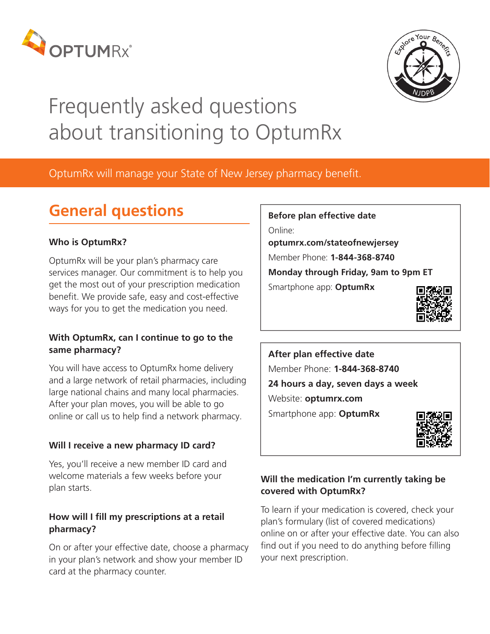



# Frequently asked questions about transitioning to OptumRx

OptumRx will manage your State of New Jersey pharmacy benefit.

## **General questions**

#### **Who is OptumRx?**

OptumRx will be your plan's pharmacy care services manager. Our commitment is to help you get the most out of your prescription medication benefit. We provide safe, easy and cost-effective ways for you to get the medication you need.

#### **With OptumRx, can I continue to go to the same pharmacy?**

You will have access to OptumRx home delivery and a large network of retail pharmacies, including large national chains and many local pharmacies. After your plan moves, you will be able to go online or call us to help find a network pharmacy.

### **Will I receive a new pharmacy ID card?**

Yes, you'll receive a new member ID card and welcome materials a few weeks before your plan starts.

#### **How will I fill my prescriptions at a retail pharmacy?**

On or after your effective date, choose a pharmacy in your plan's network and show your member ID card at the pharmacy counter.

**Before plan effective date** Online: **optumrx.com/stateofnewjersey** Member Phone: **1-844-368-8740 Monday through Friday, 9am to 9pm ET** Smartphone app: **OptumRx**



**After plan effective date** Member Phone: **1-844-368-8740 24 hours a day, seven days a week** Website: **optumrx.com** Smartphone app: **OptumRx**



### **Will the medication I'm currently taking be covered with OptumRx?**

To learn if your medication is covered, check your plan's formulary (list of covered medications) online on or after your effective date. You can also find out if you need to do anything before filling your next prescription.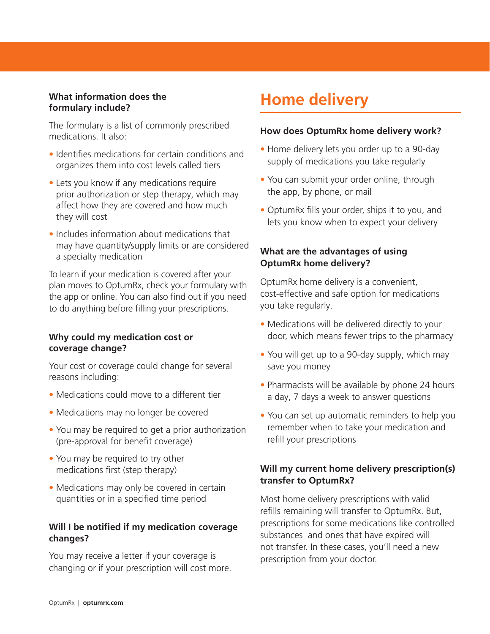#### **What information does the formulary include?**

The formulary is a list of commonly prescribed medications. It also:

- Identifies medications for certain conditions and organizes them into cost levels called tiers
- Lets you know if any medications require prior authorization or step therapy, which may affect how they are covered and how much they will cost
- Includes information about medications that may have quantity/supply limits or are considered a specialty medication

To learn if your medication is covered after your plan moves to OptumRx, check your formulary with the app or online. You can also find out if you need to do anything before filling your prescriptions.

#### **Why could my medication cost or coverage change?**

Your cost or coverage could change for several reasons including:

- Medications could move to a different tier
- Medications may no longer be covered
- You may be required to get a prior authorization (pre-approval for benefit coverage)
- You may be required to try other medications first (step therapy)
- Medications may only be covered in certain quantities or in a specified time period

#### **Will I be notified if my medication coverage changes?**

You may receive a letter if your coverage is changing or if your prescription will cost more.

### **Home delivery**

#### **How does OptumRx home delivery work?**

- Home delivery lets you order up to a 90-day supply of medications you take regularly
- You can submit your order online, through the app, by phone, or mail
- OptumRx fills your order, ships it to you, and lets you know when to expect your delivery

#### **What are the advantages of using OptumRx home delivery?**

OptumRx home delivery is a convenient, cost-effective and safe option for medications you take regularly.

- Medications will be delivered directly to your door, which means fewer trips to the pharmacy
- You will get up to a 90-day supply, which may save you money
- Pharmacists will be available by phone 24 hours a day, 7 days a week to answer questions
- You can set up automatic reminders to help you remember when to take your medication and refill your prescriptions

#### **Will my current home delivery prescription(s) transfer to OptumRx?**

Most home delivery prescriptions with valid refills remaining will transfer to OptumRx. But, prescriptions for some medications like controlled substances and ones that have expired will not transfer. In these cases, you'll need a new prescription from your doctor.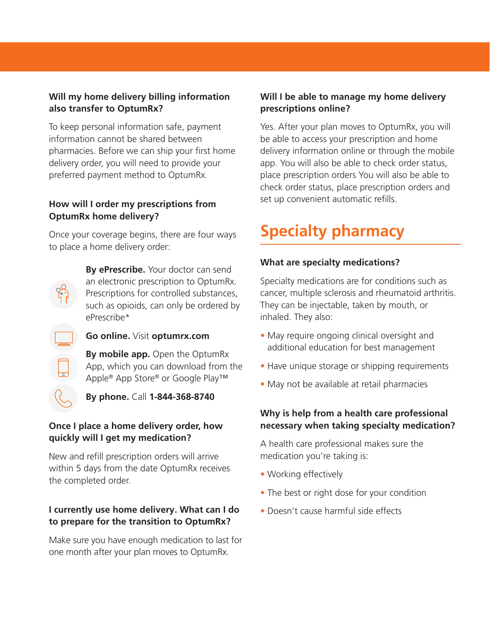#### **Will my home delivery billing information also transfer to OptumRx?**

To keep personal information safe, payment information cannot be shared between pharmacies. Before we can ship your first home delivery order, you will need to provide your preferred payment method to OptumRx.

#### **How will I order my prescriptions from OptumRx home delivery?**

Once your coverage begins, there are four ways to place a home delivery order:

> **By ePrescribe.** Your doctor can send an electronic prescription to OptumRx. Prescriptions for controlled substances, such as opioids, can only be ordered by ePrescribe\*

#### **Go online.** Visit **optumrx.com**

**By mobile app.** Open the OptumRx App, which you can download from the Apple® App Store® or Google Play™

**By phone.** Call **1-844-368-8740**

#### **Once I place a home delivery order, how quickly will I get my medication?**

New and refill prescription orders will arrive within 5 days from the date OptumRx receives the completed order.

#### **I currently use home delivery. What can I do to prepare for the transition to OptumRx?**

Make sure you have enough medication to last for one month after your plan moves to OptumRx.

#### **Will I be able to manage my home delivery prescriptions online?**

Yes. After your plan moves to OptumRx, you will be able to access your prescription and home delivery information online or through the mobile app. You will also be able to check order status, place prescription orders You will also be able to check order status, place prescription orders and set up convenient automatic refills.

## **Specialty pharmacy**

#### **What are specialty medications?**

Specialty medications are for conditions such as cancer, multiple sclerosis and rheumatoid arthritis. They can be injectable, taken by mouth, or inhaled. They also:

- May require ongoing clinical oversight and additional education for best management
- Have unique storage or shipping requirements
- May not be available at retail pharmacies

#### **Why is help from a health care professional necessary when taking specialty medication?**

A health care professional makes sure the medication you're taking is:

- Working effectively
- The best or right dose for your condition
- Doesn't cause harmful side effects